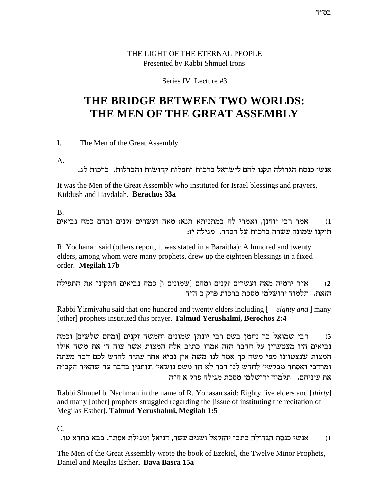## THE LIGHT OF THE ETERNAL PEOPLE Presented by Rabbi Shmuel Irons

## Series IV Lecture #3

# THE BRIDGE BETWEEN TWO WORLDS: THE MEN OF THE GREAT ASSEMBLY

 $\mathbf{L}$ The Men of the Great Assembly

 $A<sub>1</sub>$ 

אנשי כנסת הגדולה תקנו להם לישראל ברכות ותפלות קדושות והבדלות. ברכות לג.

It was the Men of the Great Assembly who instituted for Israel blessings and prayers, Kiddush and Havdalah. Berachos 33a

 $B<sub>1</sub>$ 

אמר רבי יוחנן, ואמרי לה במתניתא תנא: מאה ועשרים זקנים ובהם כמה נביאים  $(1)$ תיקנו שמונה עשרה ברכות על הסדר. מגילה יז:

R. Yochanan said (others report, it was stated in a Baraitha): A hundred and twenty elders, among whom were many prophets, drew up the eighteen blessings in a fixed order. Megilah 17b

א"ר ירמיה מאה ועשרים זקנים ומהם [שמונים ו] כמה נביאים התקינו את התפילה  $(2)$ הזאת. תלמוד ירושלמי מסכת ברכות פרק ב ה״ד

Rabbi Yirmiyahu said that one hundred and twenty elders including [eighty and] many [other] prophets instituted this prayer. Talmud Yerushalmi, Berochos 2:4

רבי שמואל בר נחמן בשם רבי יונתן שמונים וחמשה זקנים [ומהם שלשים] וכמה  $(3)$ נביאים היו מצטערין על הדבר הזה אמרו כתיב אלה המצות אשר צוה ד׳ את משה אילו המצות שנצטוינו מפי משה כך אמר לנו משה אין נביא אחר עתיד לחדש לכם דבר מעתה ומרדכי ואסתר מבקשי׳ לחדש לנו דבר לא זזו משם נושאי׳ ונותנין בדבר עד שהאיר הקב״ה את עיניהם. | תלמוד ירושלמי מסכת מגילה פרק א ה״ה

Rabbi Shmuel b. Nachman in the name of R. Yonasan said: Eighty five elders and [thirty] and many [other] prophets struggled regarding the [issue of instituting the recitation of Megilas Esther]. Talmud Yerushalmi, Megilah 1:5

 $\mathcal{C}$ 

אנשי כנסת הגדולה כתבו יחזקאל ושנים עשר, דניאל ומגילת אסתר. בבא בתרא טו.  $(1)$ 

The Men of the Great Assembly wrote the book of Ezekiel, the Twelve Minor Prophets, Daniel and Megilas Esther. Bava Basra 15a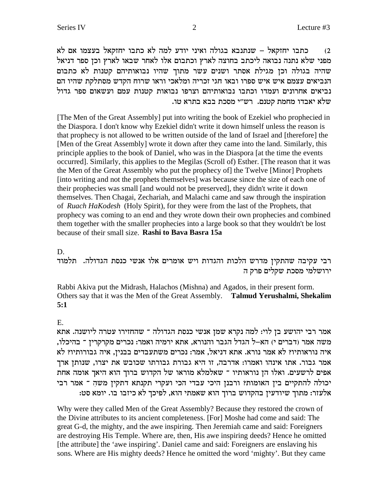מה לא כתבו מחוקאל בעצמו אם לא כתבו וחוקאל העצמו הם המבו יחזקאל - שנתנבא בגולה ואיני יודע מפני שלא נתנה נבואה ליכתב בחוצה לארץ וכתבום אלו לאחר שבאו לארץ וכן ספר דניאל שהיה בגולה וכן מגילת אסתר ושנים עשר מתוך שהיו נבואותיהם קטנות לא כתבום הנביאים עצמם איש איש ספרו ובאו חגי זכריה ומלאכי וראו שרוח הקדש מסתלקת שהיו הם נביאים אחרונים ועמדו וכתבו נבואותיהם וצרפו נבואות קטנות עמם ועשאום ספר גדול . שלא יאבדו מחמת קטנם. רש״י מסכת בבא בתרא טו

[The Men of the Great Assembly] put into writing the book of Ezekiel who prophecied in the Diaspora. I don't know why Ezekiel didn't write it down himself unless the reason is that prophecy is not allowed to be written outside of the land of Israel and [therefore] the [Men of the Great Assembly] wrote it down after they came into the land. Similarly, this principle applies to the book of Daniel, who was in the Diaspora [at the time the events occurred]. Similarly, this applies to the Megilas (Scroll of) Esther. [The reason that it was the Men of the Great Assembly who put the prophecy of] the Twelve [Minor] Prophets [into writing and not the prophets themselves] was because since the size of each one of their prophecies was small [and would not be preserved], they didn't write it down themselves. Then Chagai, Zechariah, and Malachi came and saw through the inspiration of *Ruach HaKodesh* (Holy Spirit), for they were from the last of the Prophets, that prophecy was coming to an end and they wrote down their own prophecies and combined them together with the smaller prophecies into a large book so that they wouldn't be lost because of their small size. **Rashi to Bava Basra 15a**

#### D.

רבי עקיבה שהתקין מדרש הלכות והגדות ויש אומרים אלו אנשי כנסת הגדולה. תלמוד ירושלמי מסכת שקלים פרק ה

Rabbi Akiva put the Midrash, Halachos (Mishna) and Agados, in their present form. Others say that it was the Men of the Great Assembly. **Talmud Yerushalmi, Shekalim 5:1**

### E.

אמר רבי יהושע בן לוי: למה נקרא שמן אנשי כנסת הגדולה ־ שהחזירו עטרה ליושנה. אתא , משה אמר (דברים י) הא–ל הגדל הגבר והנורא, אתא ירמיה ואמר: נכרים מקרקרין ־ בהיכלו איה נוראותיו? לא אמר נורא. אתא דניאל, אמר: נכרים משתעבדים בבנין, איה גבורותיו? לא אמר גבור. אתו אינהו ואמרו: אדרבה, זו היא גבורת גבורתו שכובש את יצרו, שנותן ארך אפים לרשעים. ואלו הן נוראותיו ־ שאלמלא מוראו של הקדוש ברוך הוא היאך אומה אחת יכולה להתקיים בין האומות? ורבנן היכי עבדי הכי ועקרי תקנתא דתקין משה ־ אמר רבי :אלעזר: מתוך שיודעין בהקדוש ברוך הוא שאמתי הוא, לפיכך לא כיזבו בו. יומא סט

Why were they called Men of the Great Assembly? Because they restored the crown of the Divine attributes to its ancient completeness. [For] Moshe had come and said: The great G-d, the mighty, and the awe inspiring. Then Jeremiah came and said: Foreigners are destroying His Temple. Where are, then, His awe inspiring deeds? Hence he omitted [the attribute] the 'awe inspiring'. Daniel came and said: Foreigners are enslaving his sons. Where are His mighty deeds? Hence he omitted the word 'mighty'. But they came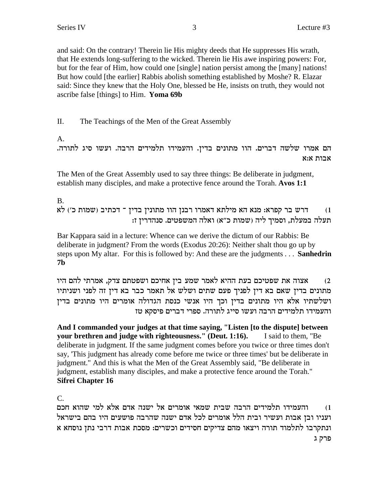and said: On the contrary! Therein lie His mighty deeds that He suppresses His wrath, that He extends long-suffering to the wicked. Therein lie His awe inspiring powers: For, but for the fear of Him, how could one [single] nation persist among the [many] nations! But how could [the earlier] Rabbis abolish something established by Moshe? R. Elazar said: Since they knew that the Holy One, blessed be He, insists on truth, they would not ascribe false [things] to Him. Yoma 69b

II. The Teachings of the Men of the Great Assembly

A.

הם אמרו שלשה דברים. הוו מתונים בדין. והעמידו תלמידים הרבה. ועשו סיג לתורה. אבות א:א

The Men of the Great Assembly used to say three things: Be deliberate in judgment, establish many disciples, and make a protective fence around the Torah. Avos 1:1

**B.** דרש בר קפרא: מנא הא מילתא דאמרו רבנן הוו מתונין בדין ־ דכתיב (שמות כ׳) לא  $(1)$ תעלה במעלת, וסמיך ליה (שמות כ"א) ואלה המשפטים. סנהדרין ז:

Bar Kappara said in a lecture: Whence can we derive the dictum of our Rabbis: Be deliberate in judgment? From the words (Exodus 20:26): Neither shalt thou go up by steps upon My altar. For this is followed by: And these are the judgments . . . Sanhedrin  $7<sub>b</sub>$ 

אצוה את שפטיכם בעת ההיא לאמר שמע בין אחיכם ושפטתם צדק, אמרתי להם היו  $(2)$ מתונים בדין שאם בא דין לפניך פעם שתים ושלש אל תאמר כבר בא דין זה לפני ושניתיו ושלשתיו אלא היו מתונים בדין וכך היו אנשי כנסת הגדולה אומרים היו מתונים בדין והעמידו תלמידים הרבה ועשו סייג לתורה. ספרי דברים פיסקא טז

And I commanded your judges at that time saying, "Listen [to the dispute] between your brethren and judge with righteousness." (Deut. 1:16). I said to them. "Be deliberate in judgment. If the same judgment comes before you twice or three times don't say, 'This judgment has already come before me twice or three times' but be deliberate in judgment." And this is what the Men of the Great Assembly said, "Be deliberate in judgment, establish many disciples, and make a protective fence around the Torah." **Sifrei Chapter 16** 

 $\mathcal{C}$ .

והעמידו תלמידים הרבה שבית שמאי אומרים אל ישנה אדם אלא למי שהוא חכם  $(1)$ ועניו ובן אבות ועשיר ובית הלל אומרים לכל אדם ישנה שהרבה פושעים היו בהם בישראל ונתקרבו לתלמוד תורה ויצאו מהם צדיקים חסידים וכשרים: מסכת אבות דרבי נתן נוסחא א פרק ג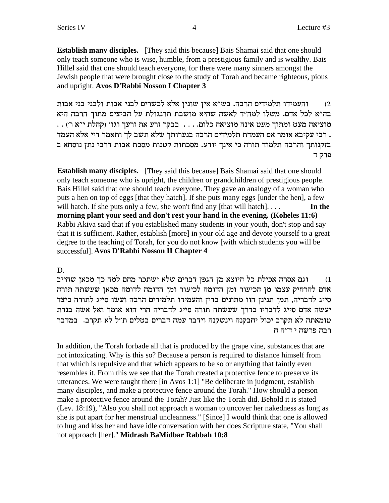**Establish many disciples.** [They said this because] Bais Shamai said that one should only teach someone who is wise, humble, from a prestigious family and is wealthy. Bais Hillel said that one should teach everyone, for there were many sinners amongst the Jewish people that were brought close to the study of Torah and became righteous, pious and upright. **Avos D'Rabbi Nosson I Chapter 3**

והעמידו תלמידים הרבה. בש"א אין שונין אלא לכשרים לבני אבות ולבני בני אבות בה"א לכל אדם. משלו למה"ד לאשה שהיא מושבת תרנגולת על הביצים מתוך הרבה היא . . מוציאה מעט ומתוך מעט אינה מוציאה כלום. . . . בבקר זרע את זרעך וגו' (קהלת י"א ו') רבי עקיבא אומר אם העמדת תלמידים הרבה בנערותך שלא תשב לך ותאמר דיי אלא העמד . בזקנותך והרבה תלמוד תורה כי אינך יודע. מסכתות קטנות מסכת אבות דרבי נתן נוסחא ב פרק ד

**Establish many disciples.** [They said this because] Bais Shamai said that one should only teach someone who is upright, the children or grandchildren of prestigious people. Bais Hillel said that one should teach everyone. They gave an analogy of a woman who puts a hen on top of eggs [that they hatch]. If she puts many eggs [under the hen], a few will hatch. If she puts only a few, she won't find any  $[that will hatch]$ ... **In the morning plant your seed and don't rest your hand in the evening. (Koheles 11:6)** Rabbi Akiva said that if you established many students in your youth, don't stop and say that it is sufficient. Rather, establish [more] in your old age and devote yourself to a great degree to the teaching of Torah, for you do not know [with which students you will be successful]. **Avos D'Rabbi Nosson II Chapter 4**

## D.

ו) וגם אסרה אכילת כל היוצא מן הגפן דברים שלא ישתכר מהם למה כך מכאן שחייב אדם להרחיק עצמו מן הכיעור ומן הדומה לכיעור ומן הדומה לדומה מכאן שעשתה תורה סייג לדבריה, תמן תנינן הוו מתונים בדין והעמידו תלמידים הרבה ועשו סייג לתורה כיצד יעשה אדם סייג לדבריו כדרך שעשתה תורה סייג לדבריה הרי הוא אומר ואל אשה בנדת טומאתה לא תקרב יכול יחבקנה וינשקנה וידבר עמה דברים בטלים ת״ל לא תקרב. במדבר רבה פרשה י $\mathbf r$ ה

In addition, the Torah forbade all that is produced by the grape vine, substances that are not intoxicating. Why is this so? Because a person is required to distance himself from that which is repulsive and that which appears to be so or anything that faintly even resembles it. From this we see that the Torah created a protective fence to preserve its utterances. We were taught there [in Avos 1:1] "Be deliberate in judgment, establish many disciples, and make a protective fence around the Torah." How should a person make a protective fence around the Torah? Just like the Torah did. Behold it is stated (Lev. 18:19), "Also you shall not approach a woman to uncover her nakedness as long as she is put apart for her menstrual uncleanness." [Since] I would think that one is allowed to hug and kiss her and have idle conversation with her does Scripture state, "You shall not approach [her]." **Midrash BaMidbar Rabbah 10:8**